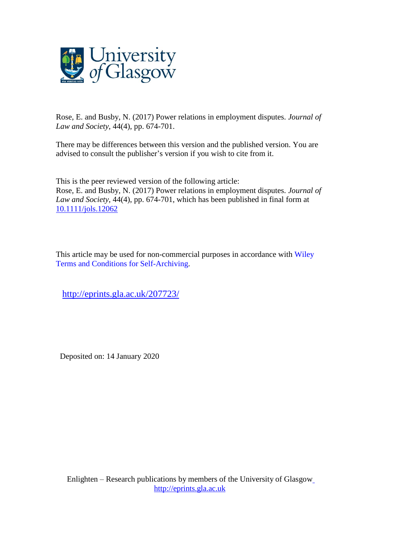

Rose, E. and Busby, N. (2017) Power relations in employment disputes. *Journal of Law and Society*, 44(4), pp. 674-701.

There may be differences between this version and the published version. You are advised to consult the publisher's version if you wish to cite from it.

This is the peer reviewed version of the following article: Rose, E. and Busby, N. (2017) Power relations in employment disputes. *Journal of Law and Society*, 44(4), pp. 674-701, which has been published in final form at [10.1111/jols.12062](http://dx.doi.org/10.1111/jols.12062)

This article may be used for non-commercial purposes in accordance with [Wiley](http://olabout.wiley.com/WileyCDA/Section/id-828039.html#terms) Terms and Conditions for [Self-Archiving.](http://olabout.wiley.com/WileyCDA/Section/id-828039.html#terms)

<http://eprints.gla.ac.uk/207723/>

Deposited on: 14 January 2020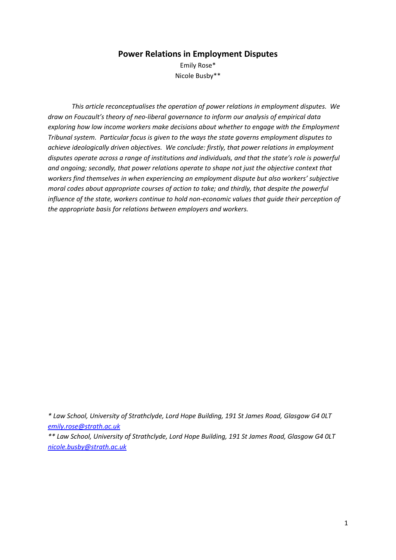# **Power Relations in Employment Disputes**

Emily Rose\* Nicole Busby\*\*

*This article reconceptualises the operation of power relations in employment disputes. We draw on Foucault's theory of neo-liberal governance to inform our analysis of empirical data exploring how low income workers make decisions about whether to engage with the Employment Tribunal system. Particular focus is given to the ways the state governs employment disputes to achieve ideologically driven objectives. We conclude: firstly, that power relations in employment disputes operate across a range of institutions and individuals, and that the state's role is powerful and ongoing; secondly, that power relations operate to shape not just the objective context that workers find themselves in when experiencing an employment dispute but also workers' subjective moral codes about appropriate courses of action to take; and thirdly, that despite the powerful influence of the state, workers continue to hold non-economic values that guide their perception of the appropriate basis for relations between employers and workers.* 

*\* Law School, University of Strathclyde, Lord Hope Building, 191 St James Road, Glasgow G4 0LT [emily.rose@strath.ac.uk](mailto:emily.rose@strath.ac.uk)*

*\*\* Law School, University of Strathclyde, Lord Hope Building, 191 St James Road, Glasgow G4 0LT [nicole.busby@strath.ac.uk](mailto:nicole.busby@strath.ac.uk)*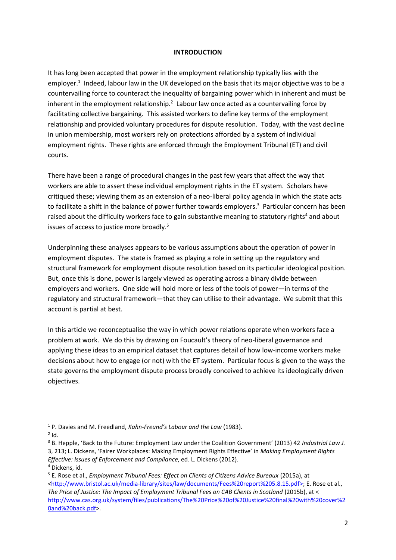#### **INTRODUCTION**

It has long been accepted that power in the employment relationship typically lies with the employer.<sup>1</sup> Indeed, labour law in the UK developed on the basis that its major objective was to be a countervailing force to counteract the inequality of bargaining power which in inherent and must be inherent in the employment relationship.<sup>2</sup> Labour law once acted as a countervailing force by facilitating collective bargaining. This assisted workers to define key terms of the employment relationship and provided voluntary procedures for dispute resolution. Today, with the vast decline in union membership, most workers rely on protections afforded by a system of individual employment rights. These rights are enforced through the Employment Tribunal (ET) and civil courts.

There have been a range of procedural changes in the past few years that affect the way that workers are able to assert these individual employment rights in the ET system. Scholars have critiqued these; viewing them as an extension of a neo-liberal policy agenda in which the state acts to facilitate a shift in the balance of power further towards employers.<sup>3</sup> Particular concern has been raised about the difficulty workers face to gain substantive meaning to statutory rights<sup>4</sup> and about issues of access to justice more broadly.<sup>5</sup>

Underpinning these analyses appears to be various assumptions about the operation of power in employment disputes. The state is framed as playing a role in setting up the regulatory and structural framework for employment dispute resolution based on its particular ideological position. But, once this is done, power is largely viewed as operating across a binary divide between employers and workers. One side will hold more or less of the tools of power—in terms of the regulatory and structural framework—that they can utilise to their advantage. We submit that this account is partial at best.

In this article we reconceptualise the way in which power relations operate when workers face a problem at work. We do this by drawing on Foucault's theory of neo-liberal governance and applying these ideas to an empirical dataset that captures detail of how low-income workers make decisions about how to engage (or not) with the ET system. Particular focus is given to the ways the state governs the employment dispute process broadly conceived to achieve its ideologically driven objectives.

 $2$  Id.

1

<sup>1</sup> P. Davies and M. Freedland, *Kahn-Freund's Labour and the Law* (1983).

<sup>3</sup> B. Hepple, 'Back to the Future: Employment Law under the Coalition Government' (2013) 42 *Industrial Law J.*  3, 213; L. Dickens, 'Fairer Workplaces: Making Employment Rights Effective' in *Making Employment Rights Effective: Issues of Enforcement and Compliance*, ed. L. Dickens (2012). <sup>4</sup> Dickens, id.

<sup>5</sup> E. Rose et al., *Employment Tribunal Fees: Effect on Clients of Citizens Advice Bureaux* (2015a), at [<http://www.bristol.ac.uk/media-library/sites/law/documents/Fees%20report%205.8.15.pdf>](http://www.bristol.ac.uk/media-library/sites/law/documents/Fees%20report%205.8.15.pdf); E. Rose et al., The Price of Justice: The Impact of Employment Tribunal Fees on CAB Clients in Scotland (2015b), at < [http://www.cas.org.uk/system/files/publications/The%20Price%20of%20Justice%20final%20with%20cover%2](http://www.cas.org.uk/system/files/publications/The%20Price%20of%20Justice%20final%20with%20cover%20and%20back.pdf) [0and%20back.pdf>](http://www.cas.org.uk/system/files/publications/The%20Price%20of%20Justice%20final%20with%20cover%20and%20back.pdf).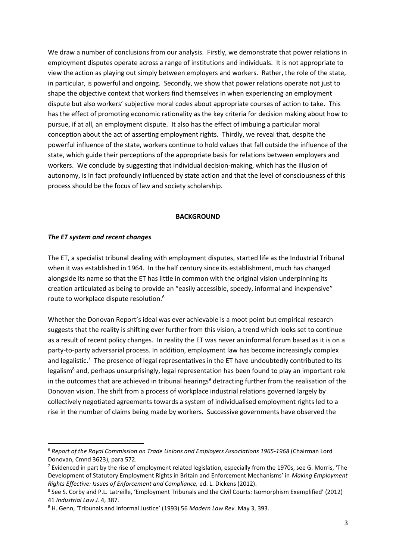We draw a number of conclusions from our analysis. Firstly, we demonstrate that power relations in employment disputes operate across a range of institutions and individuals. It is not appropriate to view the action as playing out simply between employers and workers. Rather, the role of the state, in particular, is powerful and ongoing. Secondly, we show that power relations operate not just to shape the objective context that workers find themselves in when experiencing an employment dispute but also workers' subjective moral codes about appropriate courses of action to take. This has the effect of promoting economic rationality as the key criteria for decision making about how to pursue, if at all, an employment dispute. It also has the effect of imbuing a particular moral conception about the act of asserting employment rights. Thirdly, we reveal that, despite the powerful influence of the state, workers continue to hold values that fall outside the influence of the state, which guide their perceptions of the appropriate basis for relations between employers and workers. We conclude by suggesting that individual decision-making, which has the illusion of autonomy, is in fact profoundly influenced by state action and that the level of consciousness of this process should be the focus of law and society scholarship.

#### **BACKGROUND**

#### *The ET system and recent changes*

**.** 

The ET, a specialist tribunal dealing with employment disputes, started life as the Industrial Tribunal when it was established in 1964. In the half century since its establishment, much has changed alongside its name so that the ET has little in common with the original vision underpinning its creation articulated as being to provide an "easily accessible, speedy, informal and inexpensive" route to workplace dispute resolution.<sup>6</sup>

Whether the Donovan Report's ideal was ever achievable is a moot point but empirical research suggests that the reality is shifting ever further from this vision, a trend which looks set to continue as a result of recent policy changes. In reality the ET was never an informal forum based as it is on a party-to-party adversarial process. In addition, employment law has become increasingly complex and legalistic.<sup>7</sup> The presence of legal representatives in the ET have undoubtedly contributed to its legalism<sup>8</sup> and, perhaps unsurprisingly, legal representation has been found to play an important role in the outcomes that are achieved in tribunal hearings<sup>9</sup> detracting further from the realisation of the Donovan vision. The shift from a process of workplace industrial relations governed largely by collectively negotiated agreements towards a system of individualised employment rights led to a rise in the number of claims being made by workers. Successive governments have observed the

<sup>6</sup> *Report of the Royal Commission on Trade Unions and Employers Associations 1965-1968* (Chairman Lord Donovan, Cmnd 3623), para 572.

<sup>&</sup>lt;sup>7</sup> Evidenced in part by the rise of employment related legislation, especially from the 1970s, see G. Morris, 'The Development of Statutory Employment Rights in Britain and Enforcement Mechanisms' in *Making Employment Rights Effective: Issues of Enforcement and Compliance,* ed. L. Dickens (2012).

<sup>&</sup>lt;sup>8</sup> See S. Corby and P.L. Latreille, 'Employment Tribunals and the Civil Courts: Isomorphism Exemplified' (2012) 41 *Industrial Law J.* 4, 387.

<sup>9</sup> H. Genn, 'Tribunals and Informal Justice' (1993) 56 *Modern Law Rev.* May 3, 393.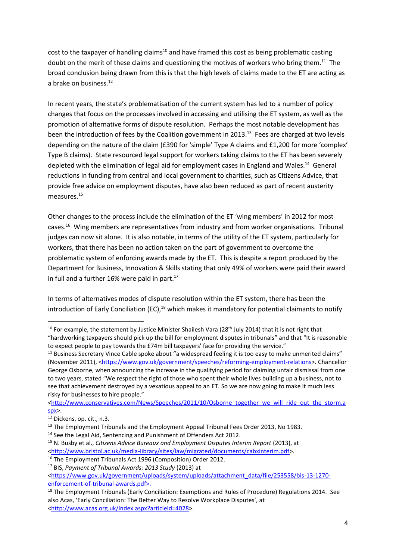cost to the taxpayer of handling claims<sup>10</sup> and have framed this cost as being problematic casting doubt on the merit of these claims and questioning the motives of workers who bring them.<sup>11</sup> The broad conclusion being drawn from this is that the high levels of claims made to the ET are acting as a brake on business.<sup>12</sup>

In recent years, the state's problematisation of the current system has led to a number of policy changes that focus on the processes involved in accessing and utilising the ET system, as well as the promotion of alternative forms of dispute resolution. Perhaps the most notable development has been the introduction of fees by the Coalition government in 2013.<sup>13</sup> Fees are charged at two levels depending on the nature of the claim (£390 for 'simple' Type A claims and £1,200 for more 'complex' Type B claims). State resourced legal support for workers taking claims to the ET has been severely depleted with the elimination of legal aid for employment cases in England and Wales.<sup>14</sup> General reductions in funding from central and local government to charities, such as Citizens Advice, that provide free advice on employment disputes, have also been reduced as part of recent austerity measures. 15

Other changes to the process include the elimination of the ET 'wing members' in 2012 for most cases.<sup>16</sup> Wing members are representatives from industry and from worker organisations. Tribunal judges can now sit alone. It is also notable, in terms of the utility of the ET system, particularly for workers, that there has been no action taken on the part of government to overcome the problematic system of enforcing awards made by the ET. This is despite a report produced by the Department for Business, Innovation & Skills stating that only 49% of workers were paid their award in full and a further  $16%$  were paid in part.<sup>17</sup>

In terms of alternatives modes of dispute resolution within the ET system, there has been the introduction of Early Conciliation (EC),<sup>18</sup> which makes it mandatory for potential claimants to notify

1

<sup>&</sup>lt;sup>10</sup> For example, the statement by Justice Minister Shailesh Vara (28<sup>th</sup> July 2014) that it is not right that "hardworking taxpayers should pick up the bill for employment disputes in tribunals" and that "It is reasonable to expect people to pay towards the £74m bill taxpayers' face for providing the service."

<sup>&</sup>lt;sup>11</sup> Business Secretary Vince Cable spoke about "a widespread feeling it is too easy to make unmerited claims" (November 2011), [<https://www.gov.uk/government/speeches/reforming-employment-relations>](https://www.gov.uk/government/speeches/reforming-employment-relations). Chancellor George Osborne, when announcing the increase in the qualifying period for claiming unfair dismissal from one to two years, stated "We respect the right of those who spent their whole lives building up a business, not to see that achievement destroyed by a vexatious appeal to an ET. So we are now going to make it much less risky for businesses to hire people."

[<sup>&</sup>lt;http://www.conservatives.com/News/Speeches/2011/10/Osborne\\_together\\_we\\_will\\_ride\\_out\\_the\\_storm.a](http://www.conservatives.com/News/Speeches/2011/10/Osborne_together_we_will_ride_out_the_storm.aspx) [spx>](http://www.conservatives.com/News/Speeches/2011/10/Osborne_together_we_will_ride_out_the_storm.aspx).

<sup>&</sup>lt;sup>12</sup> Dickens, op. cit., n.3.

<sup>&</sup>lt;sup>13</sup> The Employment Tribunals and the Employment Appeal Tribunal Fees Order 2013, No 1983.

<sup>&</sup>lt;sup>14</sup> See the Legal Aid, Sentencing and Punishment of Offenders Act 2012.

<sup>&</sup>lt;sup>15</sup> N. Busby et al., *Citizens Advice Bureaux and Employment Disputes Interim Report (2013)*, at [<http://www.bristol.ac.uk/media-library/sites/law/migrated/documents/cabxinterim.pdf>](http://www.bristol.ac.uk/media-library/sites/law/migrated/documents/cabxinterim.pdf).

<sup>&</sup>lt;sup>16</sup> The Employment Tribunals Act 1996 (Composition) Order 2012.

<sup>17</sup> BIS, *Payment of Tribunal Awards: 2013 Study* (2013) at

[<sup>&</sup>lt;https://www.gov.uk/government/uploads/system/uploads/attachment\\_data/file/253558/bis-13-1270](https://www.gov.uk/government/uploads/system/uploads/attachment_data/file/253558/bis-13-1270-enforcement-of-tribunal-awards.pdf) [enforcement-of-tribunal-awards.pdf>](https://www.gov.uk/government/uploads/system/uploads/attachment_data/file/253558/bis-13-1270-enforcement-of-tribunal-awards.pdf).

<sup>&</sup>lt;sup>18</sup> The Employment Tribunals (Early Conciliation: Exemptions and Rules of Procedure) Regulations 2014. See also Acas, 'Early Conciliation: The Better Way to Resolve Workplace Disputes', at [<http://www.acas.org.uk/index.aspx?articleid=4028>](http://www.acas.org.uk/index.aspx?articleid=4028).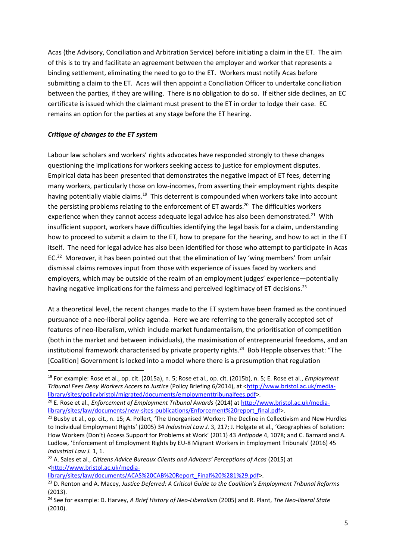Acas (the Advisory, Conciliation and Arbitration Service) before initiating a claim in the ET. The aim of this is to try and facilitate an agreement between the employer and worker that represents a binding settlement, eliminating the need to go to the ET. Workers must notify Acas before submitting a claim to the ET. Acas will then appoint a Conciliation Officer to undertake conciliation between the parties, if they are willing. There is no obligation to do so. If either side declines, an EC certificate is issued which the claimant must present to the ET in order to lodge their case. EC remains an option for the parties at any stage before the ET hearing.

## *Critique of changes to the ET system*

**.** 

Labour law scholars and workers' rights advocates have responded strongly to these changes questioning the implications for workers seeking access to justice for employment disputes. Empirical data has been presented that demonstrates the negative impact of ET fees, deterring many workers, particularly those on low-incomes, from asserting their employment rights despite having potentially viable claims.<sup>19</sup> This deterrent is compounded when workers take into account the persisting problems relating to the enforcement of ET awards.<sup>20</sup> The difficulties workers experience when they cannot access adequate legal advice has also been demonstrated.<sup>21</sup> With insufficient support, workers have difficulties identifying the legal basis for a claim, understanding how to proceed to submit a claim to the ET, how to prepare for the hearing, and how to act in the ET itself. The need for legal advice has also been identified for those who attempt to participate in Acas EC.<sup>22</sup> Moreover, it has been pointed out that the elimination of lay 'wing members' from unfair dismissal claims removes input from those with experience of issues faced by workers and employers, which may be outside of the realm of an employment judges' experience—potentially having negative implications for the fairness and perceived legitimacy of ET decisions.<sup>23</sup>

At a theoretical level, the recent changes made to the ET system have been framed as the continued pursuance of a neo-liberal policy agenda. Here we are referring to the generally accepted set of features of neo-liberalism, which include market fundamentalism, the prioritisation of competition (both in the market and between individuals), the maximisation of entrepreneurial freedoms, and an institutional framework characterised by private property rights.<sup>24</sup> Bob Hepple observes that: "The [Coalition] Government is locked into a model where there is a presumption that regulation

[library/sites/law/documents/ACAS%20CAB%20Report\\_Final%20%281%29.pdf>](http://www.bristol.ac.uk/media-library/sites/law/documents/ACAS%20CAB%20Report_Final%20%281%29.pdf).

<sup>19</sup> For example: Rose et al., op. cit. (2015a), n. 5; Rose et al., op. cit. (2015b), n. 5; E. Rose et al., *Employment Tribunal Fees Deny Workers Access to Justice* (Policy Briefing 6/2014), at [<http://www.bristol.ac.uk/media](http://www.bristol.ac.uk/media-library/sites/policybristol/migrated/documents/employmenttribunalfees.pdf)[library/sites/policybristol/migrated/documents/employmenttribunalfees.pdf>](http://www.bristol.ac.uk/media-library/sites/policybristol/migrated/documents/employmenttribunalfees.pdf).

<sup>20</sup> E. Rose et al., *Enforcement of Employment Tribunal Awards* (2014) a[t http://www.bristol.ac.uk/media](http://www.bristol.ac.uk/media-library/sites/law/documents/new-sites-publications/Enforcement%20report_final.pdf)[library/sites/law/documents/new-sites-publications/Enforcement%20report\\_final.pdf>](http://www.bristol.ac.uk/media-library/sites/law/documents/new-sites-publications/Enforcement%20report_final.pdf).

<sup>&</sup>lt;sup>21</sup> Busby et al., op. cit., n. 15; A. Pollert, 'The Unorganised Worker: The Decline in Collectivism and New Hurdles to Individual Employment Rights' (2005) 34 *Industrial Law J.* 3, 217; J. Holgate et al., 'Geographies of Isolation: How Workers (Don't) Access Support for Problems at Work' (2011) 43 *Antipode* 4, 1078; and C. Barnard and A. Ludlow, 'Enforcement of Employment Rights by EU-8 Migrant Workers in Employment Tribunals' (2016) 45 *Industrial Law J.* 1, 1.

<sup>&</sup>lt;sup>22</sup> A. Sales et al., *Citizens Advice Bureaux Clients and Advisers' Perceptions of Acas (2015)* at [<http://www.bristol.ac.uk/media-](http://www.bristol.ac.uk/media-library/sites/law/documents/ACAS%20CAB%20Report_Final%20%281%29.pdf)

<sup>23</sup> D. Renton and A. Macey, *Justice Deferred: A Critical Guide to the Coalition's Employment Tribunal Reforms*  (2013).

<sup>24</sup> See for example: D. Harvey, *A Brief History of Neo-Liberalism* (2005) and R. Plant, *The Neo-liberal State* (2010).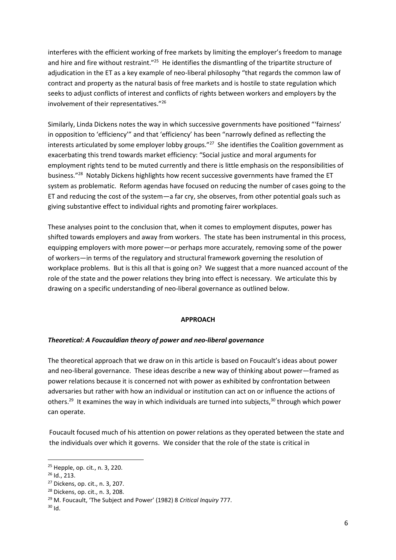interferes with the efficient working of free markets by limiting the employer's freedom to manage and hire and fire without restraint."<sup>25</sup> He identifies the dismantling of the tripartite structure of adjudication in the ET as a key example of neo-liberal philosophy "that regards the common law of contract and property as the natural basis of free markets and is hostile to state regulation which seeks to adjust conflicts of interest and conflicts of rights between workers and employers by the involvement of their representatives."<sup>26</sup>

Similarly, Linda Dickens notes the way in which successive governments have positioned "'fairness' in opposition to 'efficiency'" and that 'efficiency' has been "narrowly defined as reflecting the interests articulated by some employer lobby groups."<sup>27</sup> She identifies the Coalition government as exacerbating this trend towards market efficiency: "Social justice and moral arguments for employment rights tend to be muted currently and there is little emphasis on the responsibilities of business."<sup>28</sup> Notably Dickens highlights how recent successive governments have framed the ET system as problematic. Reform agendas have focused on reducing the number of cases going to the ET and reducing the cost of the system—a far cry, she observes, from other potential goals such as giving substantive effect to individual rights and promoting fairer workplaces.

These analyses point to the conclusion that, when it comes to employment disputes, power has shifted towards employers and away from workers. The state has been instrumental in this process, equipping employers with more power—or perhaps more accurately, removing some of the power of workers—in terms of the regulatory and structural framework governing the resolution of workplace problems. But is this all that is going on? We suggest that a more nuanced account of the role of the state and the power relations they bring into effect is necessary. We articulate this by drawing on a specific understanding of neo-liberal governance as outlined below.

### **APPROACH**

### *Theoretical: A Foucauldian theory of power and neo-liberal governance*

The theoretical approach that we draw on in this article is based on Foucault's ideas about power and neo-liberal governance. These ideas describe a new way of thinking about power—framed as power relations because it is concerned not with power as exhibited by confrontation between adversaries but rather with how an individual or institution can act on or influence the actions of others.<sup>29</sup> It examines the way in which individuals are turned into subjects,<sup>30</sup> through which power can operate.

Foucault focused much of his attention on power relations as they operated between the state and the individuals over which it governs. We consider that the role of the state is critical in

<sup>25</sup> Hepple, op. cit., n. 3, 220.

<sup>26</sup> Id., 213.

<sup>27</sup> Dickens, op. cit., n. 3, 207.

<sup>28</sup> Dickens, op. cit., n. 3, 208.

<sup>29</sup> M. Foucault, 'The Subject and Power' (1982) 8 *Critical Inquiry* 777.

 $30$  Id.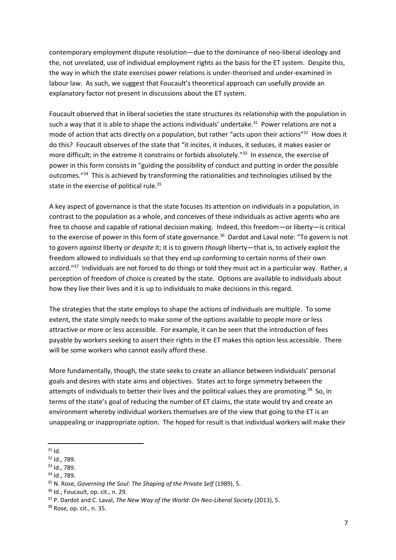contemporary employment dispute resolution—due to the dominance of neo-liberal ideology and the, not unrelated, use of individual employment rights as the basis for the ET system. Despite this, the way in which the state exercises power relations is under-theorised and under-examined in labour law. As such, we suggest that Foucault's theoretical approach can usefully provide an explanatory factor not present in discussions about the ET system.

Foucault observed that in liberal societies the state structures its relationship with the population in such a way that it is able to shape the actions individuals' undertake.<sup>31</sup> Power relations are not a mode of action that acts directly on a population, but rather "acts upon their actions"<sup>32</sup> How does it do this? Foucault observes of the state that "it incites, it induces, it seduces, it makes easier or more difficult; in the extreme it constrains or forbids absolutely."<sup>33</sup> In essence, the exercise of power in this form consists in "guiding the possibility of conduct and putting in order the possible outcomes."<sup>34</sup> This is achieved by transforming the rationalities and technologies utilised by the state in the exercise of political rule.<sup>35</sup>

A key aspect of governance is that the state focuses its attention on individuals in a population, in contrast to the population as a whole, and conceives of these individuals as active agents who are free to choose and capable of rational decision making. Indeed, this freedom—or liberty—is critical to the exercise of power in this form of state governance.<sup>36</sup> Dardot and Laval note: "To govern is not to govern *against* liberty or *despite* it; it is to govern *though* liberty—that is, to actively exploit the freedom allowed to individuals so that they end up conforming to certain norms of their own accord."<sup>37</sup> Individuals are not forced to do things or told they must act in a particular way. Rather, a perception of freedom of choice is created by the state. Options are available to individuals about how they live their lives and it is up to individuals to make decisions in this regard.

The strategies that the state employs to shape the actions of individuals are multiple. To some extent, the state simply needs to make some of the options available to people more or less attractive or more or less accessible. For example, it can be seen that the introduction of fees payable by workers seeking to assert their rights in the ET makes this option less accessible. There will be some workers who cannot easily afford these.

More fundamentally, though, the state seeks to create an alliance between individuals' personal goals and desires with state aims and objectives. States act to forge symmetry between the attempts of individuals to better their lives and the political values they are promoting.<sup>38</sup> So, in terms of the state's goal of reducing the number of ET claims, the state would try and create an environment whereby individual workers themselves are of the view that going to the ET is an unappealing or inappropriate option. The hoped for result is that individual workers will make their

**<sup>.</sup>**  $31$  Id.

<sup>32</sup> Id., 789.

<sup>33</sup> Id., 789.

<sup>&</sup>lt;sup>34</sup> Id., 789.

<sup>&</sup>lt;sup>35</sup> N. Rose, *Governing the Soul: The Shaping of the Private Self* (1989), 5.

<sup>36</sup> Id.; Foucault, op. cit., n. 29.

<sup>37</sup> P. Dardot and C. Laval, *The New Way of the World: On Neo-Liberal Society* (2013), 5.

<sup>38</sup> Rose, op. cit., n. 35.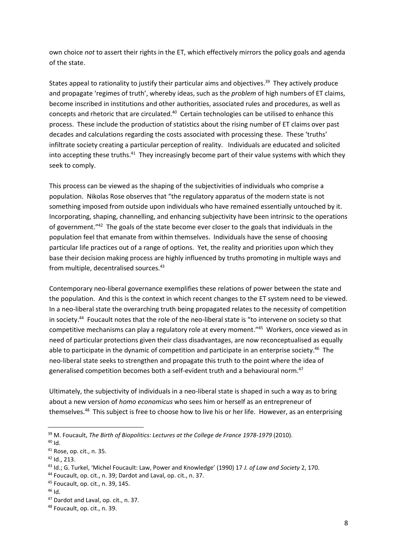own choice *not* to assert their rights in the ET, which effectively mirrors the policy goals and agenda of the state.

States appeal to rationality to justify their particular aims and objectives.<sup>39</sup> They actively produce and propagate 'regimes of truth', whereby ideas, such as the *problem* of high numbers of ET claims, become inscribed in institutions and other authorities, associated rules and procedures, as well as concepts and rhetoric that are circulated.<sup>40</sup> Certain technologies can be utilised to enhance this process. These include the production of statistics about the rising number of ET claims over past decades and calculations regarding the costs associated with processing these. These 'truths' infiltrate society creating a particular perception of reality. Individuals are educated and solicited into accepting these truths.<sup>41</sup> They increasingly become part of their value systems with which they seek to comply.

This process can be viewed as the shaping of the subjectivities of individuals who comprise a population. Nikolas Rose observes that "the regulatory apparatus of the modern state is not something imposed from outside upon individuals who have remained essentially untouched by it. Incorporating, shaping, channelling, and enhancing subjectivity have been intrinsic to the operations of government."<sup>42</sup> The goals of the state become ever closer to the goals that individuals in the population feel that emanate from within themselves. Individuals have the sense of choosing particular life practices out of a range of options. Yet, the reality and priorities upon which they base their decision making process are highly influenced by truths promoting in multiple ways and from multiple, decentralised sources.<sup>43</sup>

Contemporary neo-liberal governance exemplifies these relations of power between the state and the population. And this is the context in which recent changes to the ET system need to be viewed. In a neo-liberal state the overarching truth being propagated relates to the necessity of competition in society.<sup>44</sup> Foucault notes that the role of the neo-liberal state is "to intervene on society so that competitive mechanisms can play a regulatory role at every moment." 45 Workers, once viewed as in need of particular protections given their class disadvantages, are now reconceptualised as equally able to participate in the dynamic of competition and participate in an enterprise society.<sup>46</sup> The neo-liberal state seeks to strengthen and propagate this truth to the point where the idea of generalised competition becomes both a self-evident truth and a behavioural norm.<sup>47</sup>

Ultimately, the subjectivity of individuals in a neo-liberal state is shaped in such a way as to bring about a new version of *homo economicus* who sees him or herself as an entrepreneur of themselves.<sup>48</sup> This subject is free to choose how to live his or her life. However, as an enterprising

<sup>39</sup> M. Foucault, *The Birth of Biopolitics: Lectures at the College de France 1978-1979* (2010).

<sup>40</sup> Id.

<sup>41</sup> Rose, op. cit., n. 35.

 $42$  Id., 213.

<sup>43</sup> Id.; G. Turkel, 'Michel Foucault: Law, Power and Knowledge' (1990) 17 *J. of Law and Society* 2, 170.

<sup>44</sup> Foucault, op. cit., n. 39; Dardot and Laval, op. cit., n. 37.

<sup>45</sup> Foucault, op. cit., n. 39, 145.

 $46$  Id.

<sup>47</sup> Dardot and Laval, op. cit., n. 37.

<sup>48</sup> Foucault, op. cit., n. 39.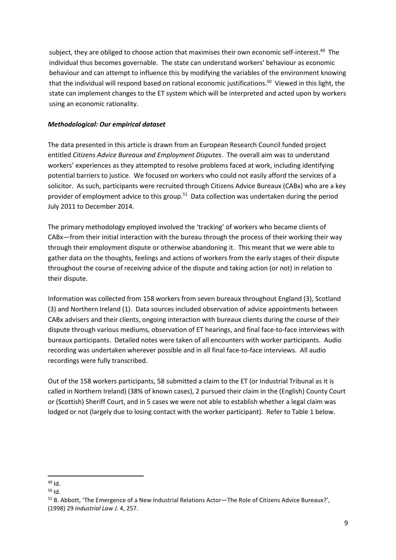subject, they are obliged to choose action that maximises their own economic self-interest.<sup>49</sup> The individual thus becomes governable. The state can understand workers' behaviour as economic behaviour and can attempt to influence this by modifying the variables of the environment knowing that the individual will respond based on rational economic justifications.<sup>50</sup> Viewed in this light, the state can implement changes to the ET system which will be interpreted and acted upon by workers using an economic rationality.

## *Methodological: Our empirical dataset*

The data presented in this article is drawn from an European Research Council funded project entitled *Citizens Advice Bureaux and Employment Disputes*. The overall aim was to understand workers' experiences as they attempted to resolve problems faced at work, including identifying potential barriers to justice. We focused on workers who could not easily afford the services of a solicitor. As such, participants were recruited through Citizens Advice Bureaux (CABx) who are a key provider of employment advice to this group.<sup>51</sup> Data collection was undertaken during the period July 2011 to December 2014.

The primary methodology employed involved the 'tracking' of workers who became clients of CABx—from their initial interaction with the bureau through the process of their working their way through their employment dispute or otherwise abandoning it. This meant that we were able to gather data on the thoughts, feelings and actions of workers from the early stages of their dispute throughout the course of receiving advice of the dispute and taking action (or not) in relation to their dispute.

Information was collected from 158 workers from seven bureaux throughout England (3), Scotland (3) and Northern Ireland (1). Data sources included observation of advice appointments between CABx advisers and their clients, ongoing interaction with bureaux clients during the course of their dispute through various mediums, observation of ET hearings, and final face-to-face interviews with bureaux participants. Detailed notes were taken of all encounters with worker participants. Audio recording was undertaken wherever possible and in all final face-to-face interviews. All audio recordings were fully transcribed.

Out of the 158 workers participants, 58 submitted a claim to the ET (or Industrial Tribunal as it is called in Northern Ireland) (38% of known cases), 2 pursued their claim in the (English) County Court or (Scottish) Sheriff Court, and in 5 cases we were not able to establish whether a legal claim was lodged or not (largely due to losing contact with the worker participant). Refer to Table 1 below.

**<sup>.</sup>**  $49$  Id.

<sup>50</sup> Id.

<sup>51</sup> B. Abbott, 'The Emergence of a New Industrial Relations Actor—The Role of Citizens Advice Bureaux?', (1998) 29 *Industrial Law J.* 4, 257.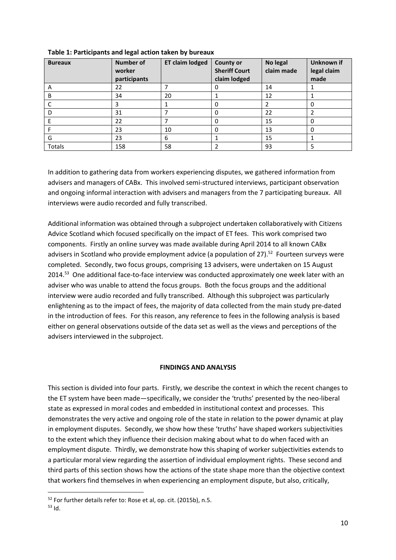| <b>Bureaux</b> | <b>Number of</b><br>worker<br>participants | <b>ET claim lodged</b> | <b>County or</b><br><b>Sheriff Court</b><br>claim lodged | No legal<br>claim made | Unknown if<br>legal claim<br>made |
|----------------|--------------------------------------------|------------------------|----------------------------------------------------------|------------------------|-----------------------------------|
| A              | 22                                         |                        |                                                          | 14                     |                                   |
| В              | 34                                         | 20                     |                                                          | 12                     |                                   |
|                |                                            |                        |                                                          |                        |                                   |
|                | 31                                         |                        |                                                          | 22                     |                                   |
|                | 22                                         |                        |                                                          | 15                     |                                   |
|                | 23                                         | 10                     |                                                          | 13                     | 0                                 |
| G              | 23                                         | 6                      |                                                          | 15                     |                                   |
| <b>Totals</b>  | 158                                        | 58                     |                                                          | 93                     |                                   |

**Table 1: Participants and legal action taken by bureaux**

In addition to gathering data from workers experiencing disputes, we gathered information from advisers and managers of CABx. This involved semi-structured interviews, participant observation and ongoing informal interaction with advisers and managers from the 7 participating bureaux. All interviews were audio recorded and fully transcribed.

Additional information was obtained through a subproject undertaken collaboratively with Citizens Advice Scotland which focused specifically on the impact of ET fees. This work comprised two components. Firstly an online survey was made available during April 2014 to all known CABx advisers in Scotland who provide employment advice (a population of 27).<sup>52</sup> Fourteen surveys were completed. Secondly, two focus groups, comprising 13 advisers, were undertaken on 15 August 2014.<sup>53</sup> One additional face-to-face interview was conducted approximately one week later with an adviser who was unable to attend the focus groups. Both the focus groups and the additional interview were audio recorded and fully transcribed. Although this subproject was particularly enlightening as to the impact of fees, the majority of data collected from the main study pre-dated in the introduction of fees. For this reason, any reference to fees in the following analysis is based either on general observations outside of the data set as well as the views and perceptions of the advisers interviewed in the subproject.

### **FINDINGS AND ANALYSIS**

This section is divided into four parts. Firstly, we describe the context in which the recent changes to the ET system have been made—specifically, we consider the 'truths' presented by the neo-liberal state as expressed in moral codes and embedded in institutional context and processes. This demonstrates the very active and ongoing role of the state in relation to the power dynamic at play in employment disputes. Secondly, we show how these 'truths' have shaped workers subjectivities to the extent which they influence their decision making about what to do when faced with an employment dispute. Thirdly, we demonstrate how this shaping of worker subjectivities extends to a particular moral view regarding the assertion of individual employment rights. These second and third parts of this section shows how the actions of the state shape more than the objective context that workers find themselves in when experiencing an employment dispute, but also, critically,

1

<sup>52</sup> For further details refer to: Rose et al, op. cit. (2015b), n.5.

<sup>53</sup> Id.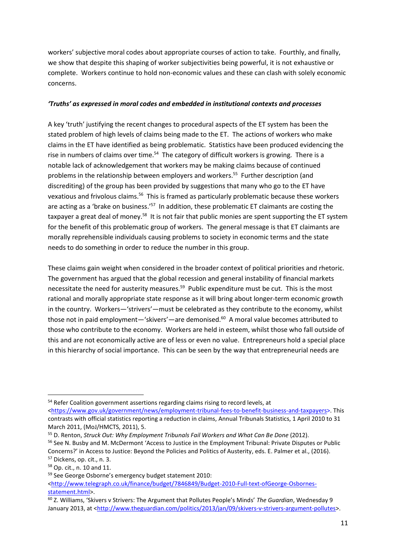workers' subjective moral codes about appropriate courses of action to take. Fourthly, and finally, we show that despite this shaping of worker subjectivities being powerful, it is not exhaustive or complete. Workers continue to hold non-economic values and these can clash with solely economic concerns.

### *'Truths' as expressed in moral codes and embedded in institutional contexts and processes*

A key 'truth' justifying the recent changes to procedural aspects of the ET system has been the stated problem of high levels of claims being made to the ET. The actions of workers who make claims in the ET have identified as being problematic. Statistics have been produced evidencing the rise in numbers of claims over time.<sup>54</sup> The category of difficult workers is growing. There is a notable lack of acknowledgement that workers may be making claims because of continued problems in the relationship between employers and workers.<sup>55</sup> Further description (and discrediting) of the group has been provided by suggestions that many who go to the ET have vexatious and frivolous claims.<sup>56</sup> This is framed as particularly problematic because these workers are acting as a 'brake on business.'<sup>57</sup> In addition, these problematic ET claimants are costing the taxpayer a great deal of money.<sup>58</sup> It is not fair that public monies are spent supporting the ET system for the benefit of this problematic group of workers. The general message is that ET claimants are morally reprehensible individuals causing problems to society in economic terms and the state needs to do something in order to reduce the number in this group.

These claims gain weight when considered in the broader context of political priorities and rhetoric. The government has argued that the global recession and general instability of financial markets necessitate the need for austerity measures.<sup>59</sup> Public expenditure must be cut. This is the most rational and morally appropriate state response as it will bring about longer-term economic growth in the country. Workers—'strivers'—must be celebrated as they contribute to the economy, whilst those not in paid employment—'skivers'—are demonised.<sup>60</sup> A moral value becomes attributed to those who contribute to the economy. Workers are held in esteem, whilst those who fall outside of this and are not economically active are of less or even no value. Entrepreneurs hold a special place in this hierarchy of social importance. This can be seen by the way that entrepreneurial needs are

 $\overline{a}$ 

<sup>&</sup>lt;sup>54</sup> Refer Coalition government assertions regarding claims rising to record levels, at [<https://www.gov.uk/government/news/employment-tribunal-fees-to-benefit-business-and-taxpayers>](https://www.gov.uk/government/news/employment-tribunal-fees-to-benefit-business-and-taxpayers). This contrasts with official statistics reporting a reduction in claims, Annual Tribunals Statistics, 1 April 2010 to 31 March 2011, (MoJ/HMCTS, 2011), 5.

<sup>55</sup> D. Renton, *Struck Out: Why Employment Tribunals Fail Workers and What Can Be Done* (2012).

<sup>&</sup>lt;sup>56</sup> See N. Busby and M. McDermont 'Access to Justice in the Employment Tribunal: Private Disputes or Public Concerns?' in Access to Justice: Beyond the Policies and Politics of Austerity, eds. E. Palmer et al., (2016). <sup>57</sup> Dickens, op. cit., n. 3.

<sup>58</sup> Op. cit., n. 10 and 11.

<sup>59</sup> See George Osborne's emergency budget statement 2010:

[<sup>&</sup>lt;http://www.telegraph.co.uk/finance/budget/7846849/Budget-2010-Full-text-ofGeorge-Osbornes](http://www.telegraph.co.uk/finance/budget/7846849/Budget-2010-Full-text-ofGeorge-Osbornes-statement.html)[statement.html>](http://www.telegraph.co.uk/finance/budget/7846849/Budget-2010-Full-text-ofGeorge-Osbornes-statement.html).

<sup>60</sup> Z. Williams, 'Skivers v Strivers: The Argument that Pollutes People's Minds' *The Guardian*, Wednesday 9 January 2013, at [<http://www.theguardian.com/politics/2013/jan/09/skivers-v-strivers-argument-pollutes>](http://www.theguardian.com/politics/2013/jan/09/skivers-v-strivers-argument-pollutes).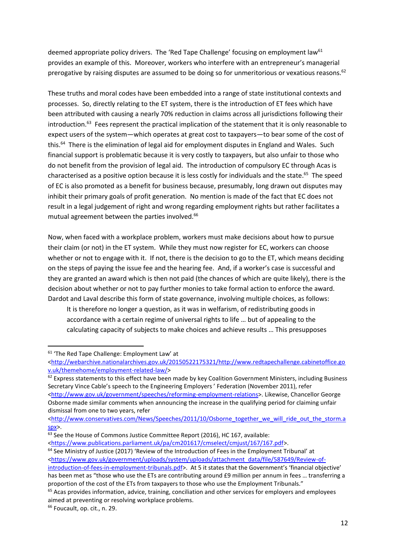deemed appropriate policy drivers. The 'Red Tape Challenge' focusing on employment law<sup>61</sup> provides an example of this. Moreover, workers who interfere with an entrepreneur's managerial prerogative by raising disputes are assumed to be doing so for unmeritorious or vexatious reasons.<sup>62</sup>

These truths and moral codes have been embedded into a range of state institutional contexts and processes. So, directly relating to the ET system, there is the introduction of ET fees which have been attributed with causing a nearly 70% reduction in claims across all jurisdictions following their introduction.<sup>63</sup> Fees represent the practical implication of the statement that it is only reasonable to expect users of the system—which operates at great cost to taxpayers—to bear some of the cost of this.<sup>64</sup> There is the elimination of legal aid for employment disputes in England and Wales. Such financial support is problematic because it is very costly to taxpayers, but also unfair to those who do not benefit from the provision of legal aid. The introduction of compulsory EC through Acas is characterised as a positive option because it is less costly for individuals and the state. <sup>65</sup> The speed of EC is also promoted as a benefit for business because, presumably, long drawn out disputes may inhibit their primary goals of profit generation. No mention is made of the fact that EC does not result in a legal judgement of right and wrong regarding employment rights but rather facilitates a mutual agreement between the parties involved.<sup>66</sup>

Now, when faced with a workplace problem, workers must make decisions about how to pursue their claim (or not) in the ET system. While they must now register for EC, workers can choose whether or not to engage with it. If not, there is the decision to go to the ET, which means deciding on the steps of paying the issue fee and the hearing fee. And, if a worker's case is successful and they are granted an award which is then not paid (the chances of which are quite likely), there is the decision about whether or not to pay further monies to take formal action to enforce the award. Dardot and Laval describe this form of state governance, involving multiple choices, as follows:

It is therefore no longer a question, as it was in welfarism, of redistributing goods in accordance with a certain regime of universal rights to life … but of appealing to the calculating capacity of subjects to make choices and achieve results … This presupposes

<sup>&</sup>lt;sup>61</sup> 'The Red Tape Challenge: Employment Law' at

[<sup>&</sup>lt;http://webarchive.nationalarchives.gov.uk/20150522175321/http://www.redtapechallenge.cabinetoffice.go](http://webarchive.nationalarchives.gov.uk/20150522175321/http:/www.redtapechallenge.cabinetoffice.gov.uk/themehome/employment-related-law/) [v.uk/themehome/employment-related-law/>](http://webarchive.nationalarchives.gov.uk/20150522175321/http:/www.redtapechallenge.cabinetoffice.gov.uk/themehome/employment-related-law/)

<sup>&</sup>lt;sup>62</sup> Express statements to this effect have been made by key Coalition Government Ministers, including Business Secretary Vince Cable's speech to the Engineering Employers ' Federation (November 2011), refer [<http://www.gov.uk/government/speeches/reforming-employment-relations>](http://www.gov.uk/government/speeches/reforming-employment-relations). Likewise, Chancellor George Osborne made similar comments when announcing the increase in the qualifying period for claiming unfair dismissal from one to two years, refer

[<sup>&</sup>lt;http://www.conservatives.com/News/Speeches/2011/10/Osborne\\_together\\_we\\_will\\_ride\\_out\\_the\\_storm.a](http://www.conservatives.com/News/Speeches/2011/10/Osborne_together_we_will_ride_out_the_storm.aspx)  $snx$ 

<sup>&</sup>lt;sup>63</sup> See the House of Commons Justice Committee Report (2016), HC 167, available:

[<sup>&</sup>lt;https://www.publications.parliament.uk/pa/cm201617/cmselect/cmjust/167/167.pdf>](https://www.publications.parliament.uk/pa/cm201617/cmselect/cmjust/167/167.pdf).

<sup>&</sup>lt;sup>64</sup> See Ministry of Justice (2017) 'Review of the Introduction of Fees in the Employment Tribunal' at [<https://www.gov.uk/government/uploads/system/uploads/attachment\\_data/file/587649/Review-of](https://www.gov.uk/government/uploads/system/uploads/attachment_data/file/587649/Review-of-introduction-of-fees-in-employment-tribunals.pdf)[introduction-of-fees-in-employment-tribunals.pdf](https://www.gov.uk/government/uploads/system/uploads/attachment_data/file/587649/Review-of-introduction-of-fees-in-employment-tribunals.pdf)>. At 5 it states that the Government's 'financial objective' has been met as "those who use the ETs are contributing around £9 million per annum in fees … transferring a

proportion of the cost of the ETs from taxpayers to those who use the Employment Tribunals."

 $65$  Acas provides information, advice, training, conciliation and other services for employers and employees aimed at preventing or resolving workplace problems.

<sup>66</sup> Foucault, op. cit., n. 29.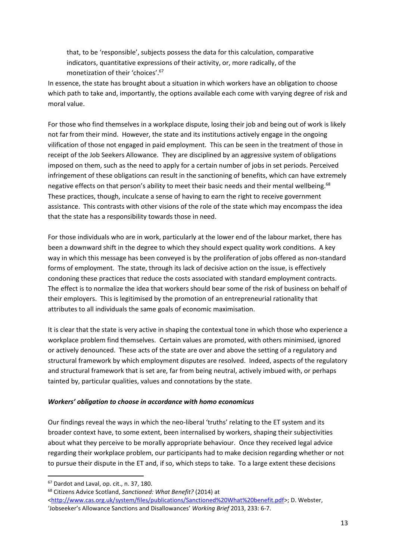that, to be 'responsible', subjects possess the data for this calculation, comparative indicators, quantitative expressions of their activity, or, more radically, of the monetization of their 'choices'.<sup>67</sup>

In essence, the state has brought about a situation in which workers have an obligation to choose which path to take and, importantly, the options available each come with varying degree of risk and moral value.

For those who find themselves in a workplace dispute, losing their job and being out of work is likely not far from their mind. However, the state and its institutions actively engage in the ongoing vilification of those not engaged in paid employment. This can be seen in the treatment of those in receipt of the Job Seekers Allowance. They are disciplined by an aggressive system of obligations imposed on them, such as the need to apply for a certain number of jobs in set periods. Perceived infringement of these obligations can result in the sanctioning of benefits, which can have extremely negative effects on that person's ability to meet their basic needs and their mental wellbeing.<sup>68</sup> These practices, though, inculcate a sense of having to earn the right to receive government assistance. This contrasts with other visions of the role of the state which may encompass the idea that the state has a responsibility towards those in need.

For those individuals who are in work, particularly at the lower end of the labour market, there has been a downward shift in the degree to which they should expect quality work conditions. A key way in which this message has been conveyed is by the proliferation of jobs offered as non-standard forms of employment. The state, through its lack of decisive action on the issue, is effectively condoning these practices that reduce the costs associated with standard employment contracts. The effect is to normalize the idea that workers should bear some of the risk of business on behalf of their employers. This is legitimised by the promotion of an entrepreneurial rationality that attributes to all individuals the same goals of economic maximisation.

It is clear that the state is very active in shaping the contextual tone in which those who experience a workplace problem find themselves. Certain values are promoted, with others minimised, ignored or actively denounced. These acts of the state are over and above the setting of a regulatory and structural framework by which employment disputes are resolved. Indeed, aspects of the regulatory and structural framework that is set are, far from being neutral, actively imbued with, or perhaps tainted by, particular qualities, values and connotations by the state.

### *Workers' obligation to choose in accordance with homo economicus*

Our findings reveal the ways in which the neo-liberal 'truths' relating to the ET system and its broader context have, to some extent, been internalised by workers, shaping their subjectivities about what they perceive to be morally appropriate behaviour. Once they received legal advice regarding their workplace problem, our participants had to make decision regarding whether or not to pursue their dispute in the ET and, if so, which steps to take. To a large extent these decisions

<sup>&</sup>lt;sup>67</sup> Dardot and Laval, op. cit., n. 37, 180.

<sup>68</sup> Citizens Advice Scotland, *Sanctioned: What Benefit?* (2014) at

[<sup>&</sup>lt;http://www.cas.org.uk/system/files/publications/Sanctioned%20What%20benefit.pdf>](http://www.cas.org.uk/system/files/publications/Sanctioned%20What%20benefit.pdf); D. Webster, 'Jobseeker's Allowance Sanctions and Disallowances' *Working Brief* 2013, 233: 6-7.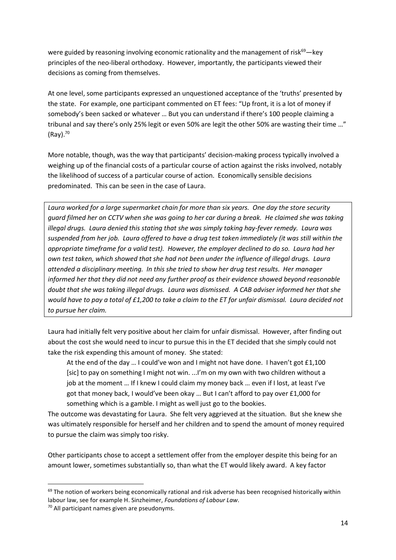were guided by reasoning involving economic rationality and the management of risk<sup>69</sup>—key principles of the neo-liberal orthodoxy. However, importantly, the participants viewed their decisions as coming from themselves.

At one level, some participants expressed an unquestioned acceptance of the 'truths' presented by the state. For example, one participant commented on ET fees: "Up front, it is a lot of money if somebody's been sacked or whatever … But you can understand if there's 100 people claiming a tribunal and say there's only 25% legit or even 50% are legit the other 50% are wasting their time …" (Ray). 70

More notable, though, was the way that participants' decision-making process typically involved a weighing up of the financial costs of a particular course of action against the risks involved, notably the likelihood of success of a particular course of action. Economically sensible decisions predominated. This can be seen in the case of Laura.

*Laura worked for a large supermarket chain for more than six years. One day the store security guard filmed her on CCTV when she was going to her car during a break. He claimed she was taking illegal drugs. Laura denied this stating that she was simply taking hay-fever remedy. Laura was suspended from her job. Laura offered to have a drug test taken immediately (it was still within the appropriate timeframe for a valid test). However, the employer declined to do so. Laura had her own test taken, which showed that she had not been under the influence of illegal drugs. Laura attended a disciplinary meeting. In this she tried to show her drug test results. Her manager informed her that they did not need any further proof as their evidence showed beyond reasonable doubt that she was taking illegal drugs. Laura was dismissed. A CAB adviser informed her that she would have to pay a total of £1,200 to take a claim to the ET for unfair dismissal. Laura decided not to pursue her claim.* 

Laura had initially felt very positive about her claim for unfair dismissal. However, after finding out about the cost she would need to incur to pursue this in the ET decided that she simply could not take the risk expending this amount of money. She stated:

At the end of the day … I could've won and I might not have done. I haven't got £1,100 [sic] to pay on something I might not win. ...I'm on my own with two children without a job at the moment … If I knew I could claim my money back … even if I lost, at least I've got that money back, I would've been okay … But I can't afford to pay over £1,000 for something which is a gamble. I might as well just go to the bookies.

The outcome was devastating for Laura. She felt very aggrieved at the situation. But she knew she was ultimately responsible for herself and her children and to spend the amount of money required to pursue the claim was simply too risky.

Other participants chose to accept a settlement offer from the employer despite this being for an amount lower, sometimes substantially so, than what the ET would likely award. A key factor

<sup>&</sup>lt;sup>69</sup> The notion of workers being economically rational and risk adverse has been recognised historically within labour law, see for example H. Sinzheimer, *Foundations of Labour Law*.

<sup>70</sup> All participant names given are pseudonyms.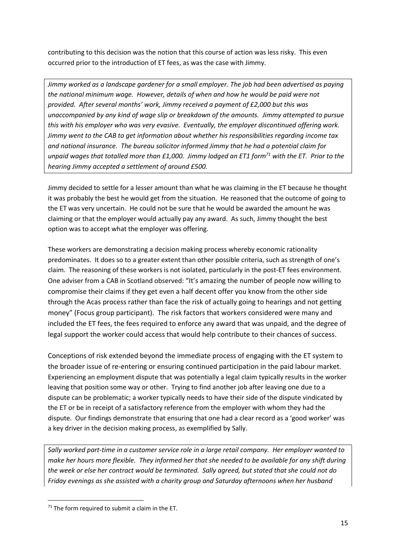contributing to this decision was the notion that this course of action was less risky. This even occurred prior to the introduction of ET fees, as was the case with Jimmy.

*Jimmy worked as a landscape gardener for a small employer. The job had been advertised as paying the national minimum wage. However, details of when and how he would be paid were not provided. After several months' work, Jimmy received a payment of £2,000 but this was unaccompanied by any kind of wage slip or breakdown of the amounts. Jimmy attempted to pursue this with his employer who was very evasive. Eventually, the employer discontinued offering work. Jimmy went to the CAB to get information about whether his responsibilities regarding income tax and national insurance. The bureau solicitor informed Jimmy that he had a potential claim for unpaid wages that totalled more than £1,000. Jimmy lodged an ET1 form<sup>71</sup> with the ET. Prior to the hearing Jimmy accepted a settlement of around £500.*

Jimmy decided to settle for a lesser amount than what he was claiming in the ET because he thought it was probably the best he would get from the situation. He reasoned that the outcome of going to the ET was very uncertain. He could not be sure that he would be awarded the amount he was claiming or that the employer would actually pay any award. As such, Jimmy thought the best option was to accept what the employer was offering.

These workers are demonstrating a decision making process whereby economic rationality predominates. It does so to a greater extent than other possible criteria, such as strength of one's claim. The reasoning of these workers is not isolated, particularly in the post-ET fees environment. One adviser from a CAB in Scotland observed: "It's amazing the number of people now willing to compromise their claims if they get even a half decent offer you know from the other side through the Acas process rather than face the risk of actually going to hearings and not getting money" (Focus group participant). The risk factors that workers considered were many and included the ET fees, the fees required to enforce any award that was unpaid, and the degree of legal support the worker could access that would help contribute to their chances of success.

Conceptions of risk extended beyond the immediate process of engaging with the ET system to the broader issue of re-entering or ensuring continued participation in the paid labour market. Experiencing an employment dispute that was potentially a legal claim typically results in the worker leaving that position some way or other. Trying to find another job after leaving one due to a dispute can be problematic; a worker typically needs to have their side of the dispute vindicated by the ET or be in receipt of a satisfactory reference from the employer with whom they had the dispute. Our findings demonstrate that ensuring that one had a clear record as a 'good worker' was a key driver in the decision making process, as exemplified by Sally.

*Sally worked part-time in a customer service role in a large retail company. Her employer wanted to make her hours more flexible. They informed her that she needed to be available for any shift during the week or else her contract would be terminated. Sally agreed, but stated that she could not do Friday evenings as she assisted with a charity group and Saturday afternoons when her husband* 

 $71$  The form required to submit a claim in the ET.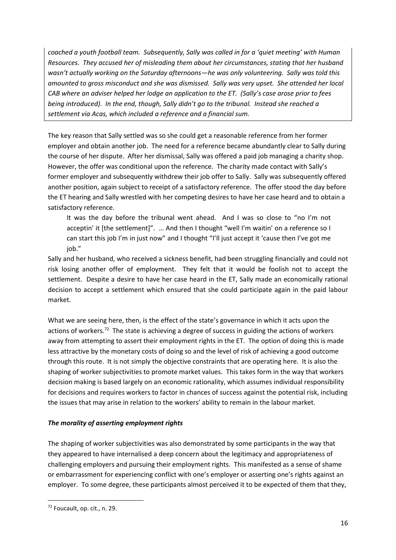*coached a youth football team. Subsequently, Sally was called in for a 'quiet meeting' with Human Resources. They accused her of misleading them about her circumstances, stating that her husband wasn't actually working on the Saturday afternoons—he was only volunteering. Sally was told this amounted to gross misconduct and she was dismissed. Sally was very upset. She attended her local CAB where an adviser helped her lodge an application to the ET. (Sally's case arose prior to fees being introduced). In the end, though, Sally didn't go to the tribunal. Instead she reached a settlement via Acas, which included a reference and a financial sum.* 

The key reason that Sally settled was so she could get a reasonable reference from her former employer and obtain another job. The need for a reference became abundantly clear to Sally during the course of her dispute. After her dismissal, Sally was offered a paid job managing a charity shop. However, the offer was conditional upon the reference. The charity made contact with Sally's former employer and subsequently withdrew their job offer to Sally. Sally was subsequently offered another position, again subject to receipt of a satisfactory reference. The offer stood the day before the ET hearing and Sally wrestled with her competing desires to have her case heard and to obtain a satisfactory reference.

It was the day before the tribunal went ahead. And I was so close to "no I'm not acceptin' it [the settlement]". … And then I thought "well I'm waitin' on a reference so I can start this job I'm in just now" and I thought "I'll just accept it 'cause then I've got me iob."

Sally and her husband, who received a sickness benefit, had been struggling financially and could not risk losing another offer of employment. They felt that it would be foolish not to accept the settlement. Despite a desire to have her case heard in the ET, Sally made an economically rational decision to accept a settlement which ensured that she could participate again in the paid labour market.

What we are seeing here, then, is the effect of the state's governance in which it acts upon the actions of workers.<sup>72</sup> The state is achieving a degree of success in guiding the actions of workers away from attempting to assert their employment rights in the ET. The option of doing this is made less attractive by the monetary costs of doing so and the level of risk of achieving a good outcome through this route. It is not simply the objective constraints that are operating here. It is also the shaping of worker subjectivities to promote market values. This takes form in the way that workers decision making is based largely on an economic rationality, which assumes individual responsibility for decisions and requires workers to factor in chances of success against the potential risk, including the issues that may arise in relation to the workers' ability to remain in the labour market.

## *The morality of asserting employment rights*

The shaping of worker subjectivities was also demonstrated by some participants in the way that they appeared to have internalised a deep concern about the legitimacy and appropriateness of challenging employers and pursuing their employment rights. This manifested as a sense of shame or embarrassment for experiencing conflict with one's employer or asserting one's rights against an employer. To some degree, these participants almost perceived it to be expected of them that they,

<sup>72</sup> Foucault, op. cit., n. 29.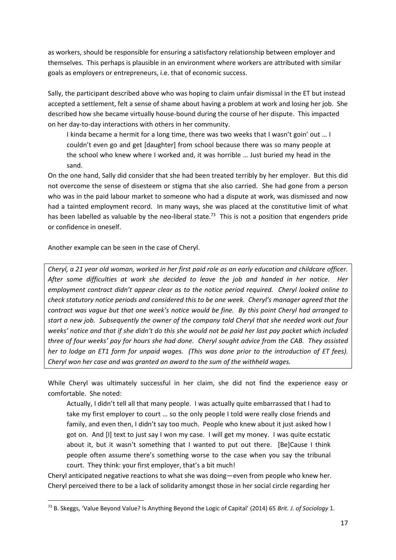as workers, should be responsible for ensuring a satisfactory relationship between employer and themselves. This perhaps is plausible in an environment where workers are attributed with similar goals as employers or entrepreneurs, i.e. that of economic success.

Sally, the participant described above who was hoping to claim unfair dismissal in the ET but instead accepted a settlement, felt a sense of shame about having a problem at work and losing her job. She described how she became virtually house-bound during the course of her dispute. This impacted on her day-to-day interactions with others in her community.

I kinda became a hermit for a long time, there was two weeks that I wasn't goin' out … I couldn't even go and get [daughter] from school because there was so many people at the school who knew where I worked and, it was horrible … Just buried my head in the sand.

On the one hand, Sally did consider that she had been treated terribly by her employer. But this did not overcome the sense of disesteem or stigma that she also carried. She had gone from a person who was in the paid labour market to someone who had a dispute at work, was dismissed and now had a tainted employment record. In many ways, she was placed at the constitutive limit of what has been labelled as valuable by the neo-liberal state.<sup>73</sup> This is not a position that engenders pride or confidence in oneself.

Another example can be seen in the case of Cheryl.

**.** 

*Cheryl, a 21 year old woman, worked in her first paid role as an early education and childcare officer. After some difficulties at work she decided to leave the job and handed in her notice. Her employment contract didn't appear clear as to the notice period required. Cheryl looked online to check statutory notice periods and considered this to be one week. Cheryl's manager agreed that the contract was vague but that one week's notice would be fine. By this point Cheryl had arranged to start a new job. Subsequently the owner of the company told Cheryl that she needed work out four weeks' notice and that if she didn't do this she would not be paid her last pay packet which included three of four weeks' pay for hours she had done. Cheryl sought advice from the CAB. They assisted her to lodge an ET1 form for unpaid wages. (This was done prior to the introduction of ET fees). Cheryl won her case and was granted an award to the sum of the withheld wages.*

While Cheryl was ultimately successful in her claim, she did not find the experience easy or comfortable. She noted:

Actually, I didn't tell all that many people. I was actually quite embarrassed that I had to take my first employer to court … so the only people I told were really close friends and family, and even then, I didn't say too much. People who knew about it just asked how I got on. And [I] text to just say I won my case. I will get my money. I was quite ecstatic about it, but it wasn't something that I wanted to put out there. [Be]Cause I think people often assume there's something worse to the case when you say the tribunal court. They think: your first employer, that's a bit much!

Cheryl anticipated negative reactions to what she was doing—even from people who knew her. Cheryl perceived there to be a lack of solidarity amongst those in her social circle regarding her

<sup>73</sup> B. Skeggs, 'Value Beyond Value? Is Anything Beyond the Logic of Capital' (2014) 65 *Brit. J. of Sociology* 1.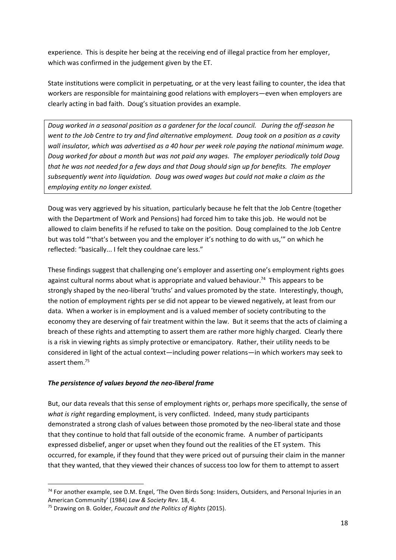experience. This is despite her being at the receiving end of illegal practice from her employer, which was confirmed in the judgement given by the ET.

State institutions were complicit in perpetuating, or at the very least failing to counter, the idea that workers are responsible for maintaining good relations with employers—even when employers are clearly acting in bad faith. Doug's situation provides an example.

*Doug worked in a seasonal position as a gardener for the local council. During the off-season he went to the Job Centre to try and find alternative employment. Doug took on a position as a cavity wall insulator, which was advertised as a 40 hour per week role paying the national minimum wage. Doug worked for about a month but was not paid any wages. The employer periodically told Doug that he was not needed for a few days and that Doug should sign up for benefits. The employer subsequently went into liquidation. Doug was owed wages but could not make a claim as the employing entity no longer existed.* 

Doug was very aggrieved by his situation, particularly because he felt that the Job Centre (together with the Department of Work and Pensions) had forced him to take this job. He would not be allowed to claim benefits if he refused to take on the position. Doug complained to the Job Centre but was told "'that's between you and the employer it's nothing to do with us,'" on which he reflected: "basically... I felt they couldnae care less."

These findings suggest that challenging one's employer and asserting one's employment rights goes against cultural norms about what is appropriate and valued behaviour.<sup>74</sup> This appears to be strongly shaped by the neo-liberal 'truths' and values promoted by the state. Interestingly, though, the notion of employment rights per se did not appear to be viewed negatively, at least from our data. When a worker is in employment and is a valued member of society contributing to the economy they are deserving of fair treatment within the law. But it seems that the acts of claiming a breach of these rights and attempting to assert them are rather more highly charged. Clearly there is a risk in viewing rights as simply protective or emancipatory. Rather, their utility needs to be considered in light of the actual context—including power relations—in which workers may seek to assert them.<sup>75</sup>

## *The persistence of values beyond the neo-liberal frame*

But, our data reveals that this sense of employment rights or, perhaps more specifically, the sense of *what is right* regarding employment, is very conflicted. Indeed, many study participants demonstrated a strong clash of values between those promoted by the neo-liberal state and those that they continue to hold that fall outside of the economic frame. A number of participants expressed disbelief, anger or upset when they found out the realities of the ET system. This occurred, for example, if they found that they were priced out of pursuing their claim in the manner that they wanted, that they viewed their chances of success too low for them to attempt to assert

<sup>74</sup> For another example, see D.M. Engel, 'The Oven Birds Song: Insiders, Outsiders, and Personal Injuries in an American Community' (1984) *Law & Society Rev.* 18, 4.

<sup>75</sup> Drawing on B. Golder, *Foucault and the Politics of Rights* (2015).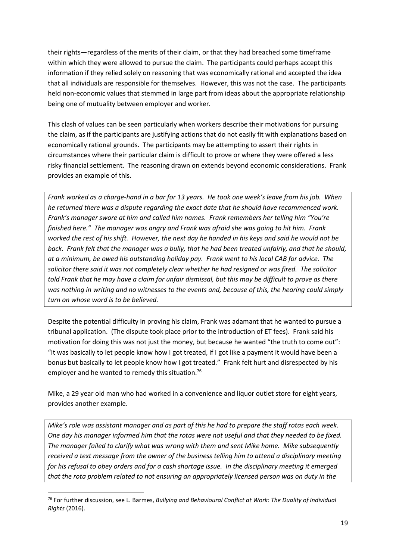their rights—regardless of the merits of their claim, or that they had breached some timeframe within which they were allowed to pursue the claim. The participants could perhaps accept this information if they relied solely on reasoning that was economically rational and accepted the idea that all individuals are responsible for themselves. However, this was not the case. The participants held non-economic values that stemmed in large part from ideas about the appropriate relationship being one of mutuality between employer and worker.

This clash of values can be seen particularly when workers describe their motivations for pursuing the claim, as if the participants are justifying actions that do not easily fit with explanations based on economically rational grounds. The participants may be attempting to assert their rights in circumstances where their particular claim is difficult to prove or where they were offered a less risky financial settlement. The reasoning drawn on extends beyond economic considerations. Frank provides an example of this.

*Frank worked as a charge-hand in a bar for 13 years. He took one week's leave from his job. When he returned there was a dispute regarding the exact date that he should have recommenced work. Frank's manager swore at him and called him names. Frank remembers her telling him "You're finished here." The manager was angry and Frank was afraid she was going to hit him. Frank worked the rest of his shift. However, the next day he handed in his keys and said he would not be back. Frank felt that the manager was a bully, that he had been treated unfairly, and that he should, at a minimum, be owed his outstanding holiday pay. Frank went to his local CAB for advice. The solicitor there said it was not completely clear whether he had resigned or was fired. The solicitor told Frank that he may have a claim for unfair dismissal, but this may be difficult to prove as there was nothing in writing and no witnesses to the events and, because of this, the hearing could simply turn on whose word is to be believed.* 

Despite the potential difficulty in proving his claim, Frank was adamant that he wanted to pursue a tribunal application. (The dispute took place prior to the introduction of ET fees). Frank said his motivation for doing this was not just the money, but because he wanted "the truth to come out": "It was basically to let people know how I got treated, if I got like a payment it would have been a bonus but basically to let people know how I got treated." Frank felt hurt and disrespected by his employer and he wanted to remedy this situation.<sup>76</sup>

Mike, a 29 year old man who had worked in a convenience and liquor outlet store for eight years, provides another example.

*Mike's role was assistant manager and as part of this he had to prepare the staff rotas each week. One day his manager informed him that the rotas were not useful and that they needed to be fixed. The manager failed to clarify what was wrong with them and sent Mike home. Mike subsequently received a text message from the owner of the business telling him to attend a disciplinary meeting for his refusal to obey orders and for a cash shortage issue. In the disciplinary meeting it emerged that the rota problem related to not ensuring an appropriately licensed person was on duty in the* 

1

<sup>76</sup> For further discussion, see L. Barmes, *Bullying and Behavioural Conflict at Work: The Duality of Individual Rights* (2016).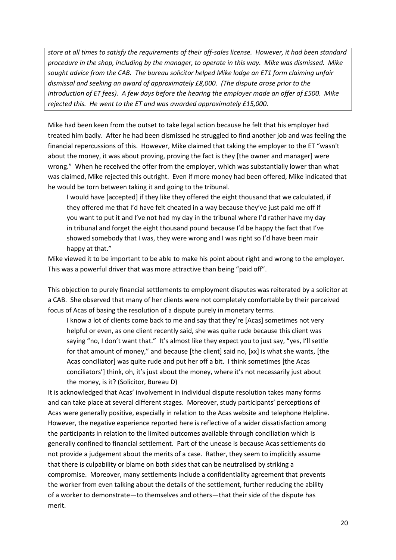*store at all times to satisfy the requirements of their off-sales license. However, it had been standard procedure in the shop, including by the manager, to operate in this way. Mike was dismissed. Mike sought advice from the CAB. The bureau solicitor helped Mike lodge an ET1 form claiming unfair dismissal and seeking an award of approximately £8,000. (The dispute arose prior to the introduction of ET fees). A few days before the hearing the employer made an offer of £500. Mike rejected this. He went to the ET and was awarded approximately £15,000.*

Mike had been keen from the outset to take legal action because he felt that his employer had treated him badly. After he had been dismissed he struggled to find another job and was feeling the financial repercussions of this. However, Mike claimed that taking the employer to the ET "wasn't about the money, it was about proving, proving the fact is they [the owner and manager] were wrong." When he received the offer from the employer, which was substantially lower than what was claimed, Mike rejected this outright. Even if more money had been offered, Mike indicated that he would be torn between taking it and going to the tribunal.

I would have [accepted] if they like they offered the eight thousand that we calculated, if they offered me that I'd have felt cheated in a way because they've just paid me off if you want to put it and I've not had my day in the tribunal where I'd rather have my day in tribunal and forget the eight thousand pound because I'd be happy the fact that I've showed somebody that I was, they were wrong and I was right so I'd have been mair happy at that."

Mike viewed it to be important to be able to make his point about right and wrong to the employer. This was a powerful driver that was more attractive than being "paid off".

This objection to purely financial settlements to employment disputes was reiterated by a solicitor at a CAB. She observed that many of her clients were not completely comfortable by their perceived focus of Acas of basing the resolution of a dispute purely in monetary terms.

I know a lot of clients come back to me and say that they're [Acas] sometimes not very helpful or even, as one client recently said, she was quite rude because this client was saying "no, I don't want that." It's almost like they expect you to just say, "yes, I'll settle for that amount of money," and because [the client] said no, [xx] is what she wants, [the Acas conciliator] was quite rude and put her off a bit. I think sometimes [the Acas conciliators'] think, oh, it's just about the money, where it's not necessarily just about the money, is it? (Solicitor, Bureau D)

It is acknowledged that Acas' involvement in individual dispute resolution takes many forms and can take place at several different stages. Moreover, study participants' perceptions of Acas were generally positive, especially in relation to the Acas website and telephone Helpline. However, the negative experience reported here is reflective of a wider dissatisfaction among the participants in relation to the limited outcomes available through conciliation which is generally confined to financial settlement. Part of the unease is because Acas settlements do not provide a judgement about the merits of a case. Rather, they seem to implicitly assume that there is culpability or blame on both sides that can be neutralised by striking a compromise. Moreover, many settlements include a confidentiality agreement that prevents the worker from even talking about the details of the settlement, further reducing the ability of a worker to demonstrate—to themselves and others—that their side of the dispute has merit.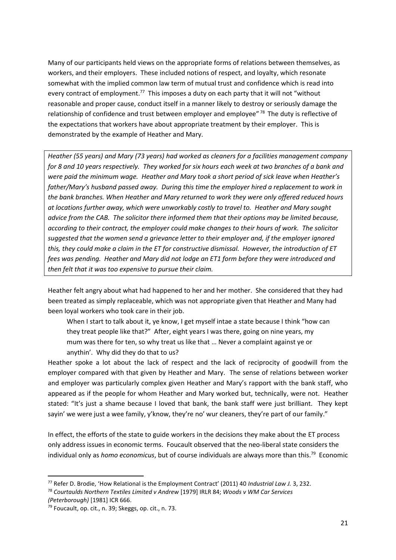Many of our participants held views on the appropriate forms of relations between themselves, as workers, and their employers. These included notions of respect, and loyalty, which resonate somewhat with the implied common law term of mutual trust and confidence which is read into every contract of employment.<sup>77</sup> This imposes a duty on each party that it will not "without reasonable and proper cause, conduct itself in a manner likely to destroy or seriously damage the relationship of confidence and trust between employer and employee"<sup>78</sup> The duty is reflective of the expectations that workers have about appropriate treatment by their employer. This is demonstrated by the example of Heather and Mary.

*Heather (55 years) and Mary (73 years) had worked as cleaners for a facilities management company for 8 and 10 years respectively. They worked for six hours each week at two branches of a bank and were paid the minimum wage. Heather and Mary took a short period of sick leave when Heather's father/Mary's husband passed away. During this time the employer hired a replacement to work in the bank branches. When Heather and Mary returned to work they were only offered reduced hours at locations further away, which were unworkably costly to travel to. Heather and Mary sought advice from the CAB. The solicitor there informed them that their options may be limited because, according to their contract, the employer could make changes to their hours of work. The solicitor suggested that the women send a grievance letter to their employer and, if the employer ignored this, they could make a claim in the ET for constructive dismissal. However, the introduction of ET fees was pending. Heather and Mary did not lodge an ET1 form before they were introduced and then felt that it was too expensive to pursue their claim.* 

Heather felt angry about what had happened to her and her mother. She considered that they had been treated as simply replaceable, which was not appropriate given that Heather and Many had been loyal workers who took care in their job.

When I start to talk about it, ye know, I get myself intae a state because I think "how can they treat people like that?" After, eight years I was there, going on nine years, my mum was there for ten, so why treat us like that … Never a complaint against ye or anythin'. Why did they do that to us?

Heather spoke a lot about the lack of respect and the lack of reciprocity of goodwill from the employer compared with that given by Heather and Mary. The sense of relations between worker and employer was particularly complex given Heather and Mary's rapport with the bank staff, who appeared as if the people for whom Heather and Mary worked but, technically, were not. Heather stated: "It's just a shame because I loved that bank, the bank staff were just brilliant. They kept sayin' we were just a wee family, y'know, they're no' wur cleaners, they're part of our family."

In effect, the efforts of the state to guide workers in the decisions they make about the ET process only address issues in economic terms. Foucault observed that the neo-liberal state considers the individual only as *homo economicus*, but of course individuals are always more than this.<sup>79</sup> Economic

<sup>77</sup> Refer D. Brodie, 'How Relational is the Employment Contract' (2011) 40 *Industrial Law J.* 3, 232.

<sup>78</sup> *Courtaulds Northern Textiles Limited v Andrew* [1979] IRLR 84; *Woods v WM Car Services (Peterborough)* [1981] ICR 666.

 $79$  Foucault, op. cit., n. 39; Skeggs, op. cit., n. 73.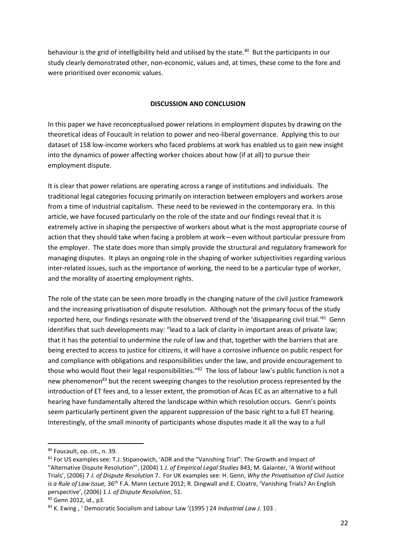behaviour is the grid of intelligibility held and utilised by the state.<sup>80</sup> But the participants in our study clearly demonstrated other, non-economic, values and, at times, these come to the fore and were prioritised over economic values.

### **DISCUSSION AND CONCLUSION**

In this paper we have reconceptualised power relations in employment disputes by drawing on the theoretical ideas of Foucault in relation to power and neo-liberal governance. Applying this to our dataset of 158 low-income workers who faced problems at work has enabled us to gain new insight into the dynamics of power affecting worker choices about how (if at all) to pursue their employment dispute.

It is clear that power relations are operating across a range of institutions and individuals. The traditional legal categories focusing primarily on interaction between employers and workers arose from a time of industrial capitalism. These need to be reviewed in the contemporary era. In this article, we have focused particularly on the role of the state and our findings reveal that it is extremely active in shaping the perspective of workers about what is the most appropriate course of action that they should take when facing a problem at work—even without particular pressure from the employer. The state does more than simply provide the structural and regulatory framework for managing disputes. It plays an ongoing role in the shaping of worker subjectivities regarding various inter-related issues, such as the importance of working, the need to be a particular type of worker, and the morality of asserting employment rights.

The role of the state can be seen more broadly in the changing nature of the civil justice framework and the increasing privatisation of dispute resolution. Although not the primary focus of the study reported here, our findings resonate with the observed trend of the 'disappearing civil trial.'<sup>81</sup> Genn identifies that such developments may: "lead to a lack of clarity in important areas of private law; that it has the potential to undermine the rule of law and that, together with the barriers that are being erected to access to justice for citizens, it will have a corrosive influence on public respect for and compliance with obligations and responsibilities under the law, and provide encouragement to those who would flout their legal responsibilities."<sup>82</sup> The loss of labour law's public function is not a new phenomenon<sup>83</sup> but the recent sweeping changes to the resolution process represented by the introduction of ET fees and, to a lesser extent, the promotion of Acas EC as an alternative to a full hearing have fundamentally altered the landscape within which resolution occurs. Genn's points seem particularly pertinent given the apparent suppression of the basic right to a full ET hearing. Interestingly, of the small minority of participants whose disputes made it all the way to a full

<sup>80</sup> Foucault, op. cit., n. 39.

<sup>&</sup>lt;sup>81</sup> For US examples see: T.J. Stipanowich, 'ADR and the "Vanishing Trial": The Growth and Impact of "Alternative Dispute Resolution"', (2004) 1 *J. of Empirical Legal Studies* 843; M. Galanter, 'A World without Trials', (2006) 7 *J. of Dispute Resolution* 7. For UK examples see: H. Genn, *Why the Privatisation of Civil Justice is a Rule of Law Issue,* 36th F.A. Mann Lecture 2012; R. Dingwall and E. Cloatre, 'Vanishing Trials? An English perspective', (2006) 1 *J. of Dispute Resolution*, 51.

<sup>82</sup> Genn 2012, id., p3.

<sup>83</sup> K. Ewing , ' Democratic Socialism and Labour Law '(1995 ) 24 *Industrial Law J.* 103 .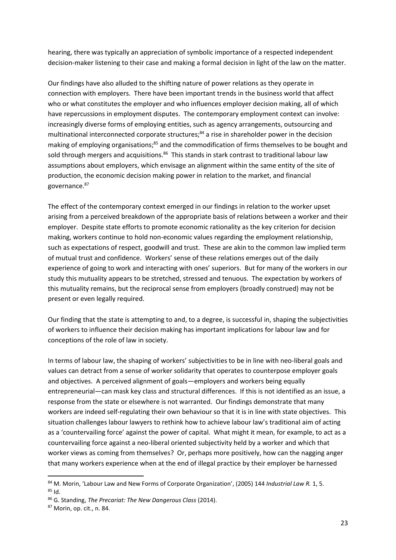hearing, there was typically an appreciation of symbolic importance of a respected independent decision-maker listening to their case and making a formal decision in light of the law on the matter.

Our findings have also alluded to the shifting nature of power relations as they operate in connection with employers. There have been important trends in the business world that affect who or what constitutes the employer and who influences employer decision making, all of which have repercussions in employment disputes. The contemporary employment context can involve: increasingly diverse forms of employing entities, such as agency arrangements, outsourcing and multinational interconnected corporate structures; <sup>84</sup> a rise in shareholder power in the decision making of employing organisations;<sup>85</sup> and the commodification of firms themselves to be bought and sold through mergers and acquisitions.<sup>86</sup> This stands in stark contrast to traditional labour law assumptions about employers, which envisage an alignment within the same entity of the site of production, the economic decision making power in relation to the market, and financial governance. 87

The effect of the contemporary context emerged in our findings in relation to the worker upset arising from a perceived breakdown of the appropriate basis of relations between a worker and their employer. Despite state efforts to promote economic rationality as the key criterion for decision making, workers continue to hold non-economic values regarding the employment relationship, such as expectations of respect, goodwill and trust. These are akin to the common law implied term of mutual trust and confidence. Workers' sense of these relations emerges out of the daily experience of going to work and interacting with ones' superiors. But for many of the workers in our study this mutuality appears to be stretched, stressed and tenuous. The expectation by workers of this mutuality remains, but the reciprocal sense from employers (broadly construed) may not be present or even legally required.

Our finding that the state is attempting to and, to a degree, is successful in, shaping the subjectivities of workers to influence their decision making has important implications for labour law and for conceptions of the role of law in society.

In terms of labour law, the shaping of workers' subjectivities to be in line with neo-liberal goals and values can detract from a sense of worker solidarity that operates to counterpose employer goals and objectives. A perceived alignment of goals—employers and workers being equally entrepreneurial—can mask key class and structural differences. If this is not identified as an issue, a response from the state or elsewhere is not warranted. Our findings demonstrate that many workers are indeed self-regulating their own behaviour so that it is in line with state objectives. This situation challenges labour lawyers to rethink how to achieve labour law's traditional aim of acting as a 'countervailing force' against the power of capital. What might it mean, for example, to act as a countervailing force against a neo-liberal oriented subjectivity held by a worker and which that worker views as coming from themselves? Or, perhaps more positively, how can the nagging anger that many workers experience when at the end of illegal practice by their employer be harnessed

<sup>84</sup> M. Morin, 'Labour Law and New Forms of Corporate Organization', (2005) 144 *Industrial Law R.* 1, 5. <sup>85</sup> Id.

<sup>86</sup> G. Standing, *The Precariat: The New Dangerous Class* (2014).

<sup>87</sup> Morin, op. cit., n. 84.